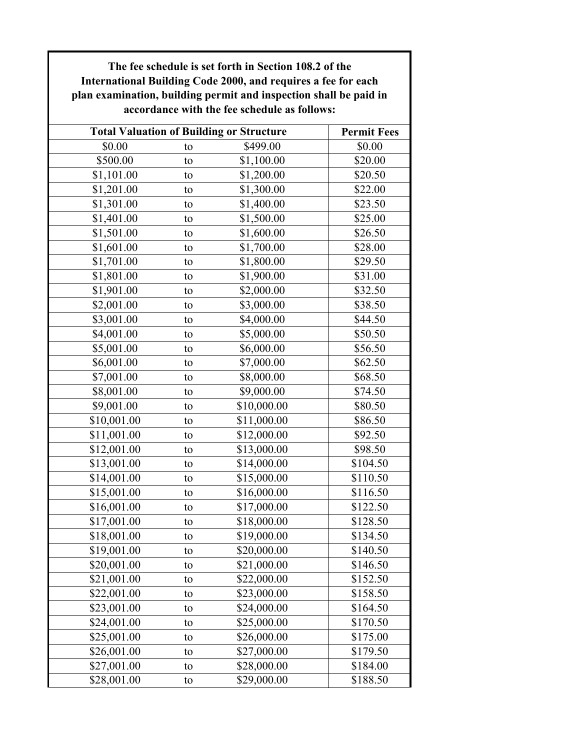| International Building Code 2000, and requires a fee for each<br>plan examination, building permit and inspection shall be paid in<br>accordance with the fee schedule as follows: |                                                 |             |                              |  |  |
|------------------------------------------------------------------------------------------------------------------------------------------------------------------------------------|-------------------------------------------------|-------------|------------------------------|--|--|
|                                                                                                                                                                                    | <b>Total Valuation of Building or Structure</b> |             |                              |  |  |
| \$0.00                                                                                                                                                                             | to                                              | \$499.00    | <b>Permit Fees</b><br>\$0.00 |  |  |
| \$500.00                                                                                                                                                                           | to                                              | \$1,100.00  | \$20.00                      |  |  |
| \$1,101.00                                                                                                                                                                         | to                                              | \$1,200.00  | \$20.50                      |  |  |
| \$1,201.00                                                                                                                                                                         | to                                              | \$1,300.00  | \$22.00                      |  |  |
| \$1,301.00                                                                                                                                                                         | to                                              | \$1,400.00  | \$23.50                      |  |  |
| \$1,401.00                                                                                                                                                                         | to                                              | \$1,500.00  | \$25.00                      |  |  |
| \$1,501.00                                                                                                                                                                         | to                                              | \$1,600.00  | \$26.50                      |  |  |
| \$1,601.00                                                                                                                                                                         | to                                              | \$1,700.00  | \$28.00                      |  |  |
| \$1,701.00                                                                                                                                                                         | to                                              | \$1,800.00  | \$29.50                      |  |  |
| \$1,801.00                                                                                                                                                                         | to                                              | \$1,900.00  | \$31.00                      |  |  |
| \$1,901.00                                                                                                                                                                         | to                                              | \$2,000.00  | \$32.50                      |  |  |
| \$2,001.00                                                                                                                                                                         | to                                              | \$3,000.00  | \$38.50                      |  |  |
| \$3,001.00                                                                                                                                                                         | to                                              | \$4,000.00  | \$44.50                      |  |  |
| \$4,001.00                                                                                                                                                                         | to                                              | \$5,000.00  | \$50.50                      |  |  |
| \$5,001.00                                                                                                                                                                         | to                                              | \$6,000.00  | \$56.50                      |  |  |
| \$6,001.00                                                                                                                                                                         | to                                              | \$7,000.00  | \$62.50                      |  |  |
| \$7,001.00                                                                                                                                                                         | to                                              | \$8,000.00  | \$68.50                      |  |  |
| \$8,001.00                                                                                                                                                                         | to                                              | \$9,000.00  | \$74.50                      |  |  |
| \$9,001.00                                                                                                                                                                         | to                                              | \$10,000.00 | \$80.50                      |  |  |
| \$10,001.00                                                                                                                                                                        | to                                              | \$11,000.00 | \$86.50                      |  |  |
| \$11,001.00                                                                                                                                                                        | to                                              | \$12,000.00 | \$92.50                      |  |  |
| \$12,001.00                                                                                                                                                                        | to                                              | \$13,000.00 | \$98.50                      |  |  |
| \$13,001.00                                                                                                                                                                        | to                                              | \$14,000.00 | \$104.50                     |  |  |
| \$14,001.00                                                                                                                                                                        | to                                              | \$15,000.00 | \$110.50                     |  |  |
| \$15,001.00                                                                                                                                                                        | to                                              | \$16,000.00 | \$116.50                     |  |  |
| \$16,001.00                                                                                                                                                                        | to                                              | \$17,000.00 | \$122.50                     |  |  |
| \$17,001.00                                                                                                                                                                        | to                                              | \$18,000.00 | \$128.50                     |  |  |
| \$18,001.00                                                                                                                                                                        | to                                              | \$19,000.00 | \$134.50                     |  |  |
| \$19,001.00                                                                                                                                                                        | to                                              | \$20,000.00 | \$140.50                     |  |  |
| \$20,001.00                                                                                                                                                                        | to                                              | \$21,000.00 | \$146.50                     |  |  |
| \$21,001.00                                                                                                                                                                        | to                                              | \$22,000.00 | \$152.50                     |  |  |
| \$22,001.00                                                                                                                                                                        | to                                              | \$23,000.00 | \$158.50                     |  |  |
| \$23,001.00                                                                                                                                                                        | to                                              | \$24,000.00 | \$164.50                     |  |  |
| \$24,001.00                                                                                                                                                                        | to                                              | \$25,000.00 | \$170.50                     |  |  |
| \$25,001.00                                                                                                                                                                        | to                                              | \$26,000.00 | \$175.00                     |  |  |
| \$26,001.00                                                                                                                                                                        | to                                              | \$27,000.00 | \$179.50                     |  |  |
| \$27,001.00                                                                                                                                                                        | to                                              | \$28,000.00 | \$184.00                     |  |  |
| \$28,001.00                                                                                                                                                                        | to                                              | \$29,000.00 | \$188.50                     |  |  |

**The fee schedule is set forth in Section 108.2 of the**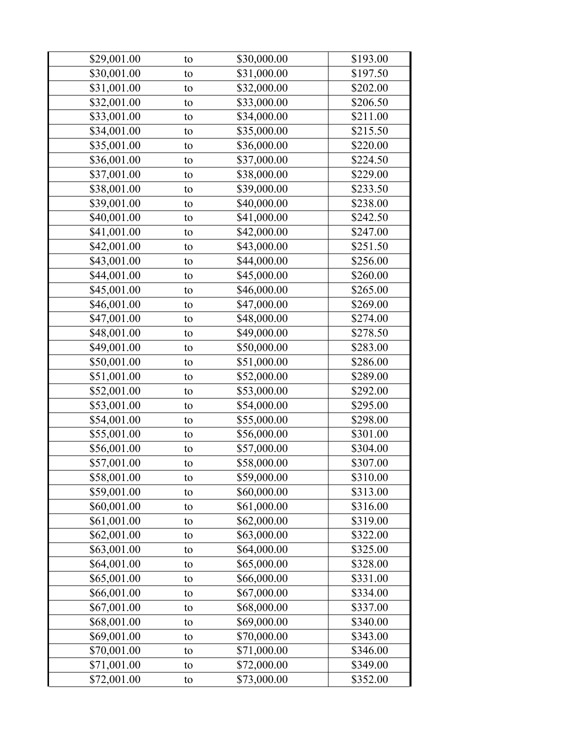| \$29,001.00 | to | \$30,000.00 | \$193.00 |
|-------------|----|-------------|----------|
| \$30,001.00 | to | \$31,000.00 | \$197.50 |
| \$31,001.00 | to | \$32,000.00 | \$202.00 |
| \$32,001.00 | to | \$33,000.00 | \$206.50 |
| \$33,001.00 | to | \$34,000.00 | \$211.00 |
| \$34,001.00 | to | \$35,000.00 | \$215.50 |
| \$35,001.00 | to | \$36,000.00 | \$220.00 |
| \$36,001.00 | to | \$37,000.00 | \$224.50 |
| \$37,001.00 | to | \$38,000.00 | \$229.00 |
| \$38,001.00 | to | \$39,000.00 | \$233.50 |
| \$39,001.00 | to | \$40,000.00 | \$238.00 |
| \$40,001.00 | to | \$41,000.00 | \$242.50 |
| \$41,001.00 | to | \$42,000.00 | \$247.00 |
| \$42,001.00 | to | \$43,000.00 | \$251.50 |
| \$43,001.00 | to | \$44,000.00 | \$256.00 |
| \$44,001.00 | to | \$45,000.00 | \$260.00 |
| \$45,001.00 | to | \$46,000.00 | \$265.00 |
| \$46,001.00 | to | \$47,000.00 | \$269.00 |
| \$47,001.00 | to | \$48,000.00 | \$274.00 |
| \$48,001.00 | to | \$49,000.00 | \$278.50 |
| \$49,001.00 | to | \$50,000.00 | \$283.00 |
| \$50,001.00 | to | \$51,000.00 | \$286.00 |
| \$51,001.00 | to | \$52,000.00 | \$289.00 |
| \$52,001.00 | to | \$53,000.00 | \$292.00 |
| \$53,001.00 | to | \$54,000.00 | \$295.00 |
| \$54,001.00 | to | \$55,000.00 | \$298.00 |
| \$55,001.00 | to | \$56,000.00 | \$301.00 |
| \$56,001.00 | to | \$57,000.00 | \$304.00 |
| \$57,001.00 | to | \$58,000.00 | \$307.00 |
| \$58,001.00 | τo | \$59,000.00 | \$310.00 |
| \$59,001.00 | to | \$60,000.00 | \$313.00 |
| \$60,001.00 | to | \$61,000.00 | \$316.00 |
| \$61,001.00 | to | \$62,000.00 | \$319.00 |
| \$62,001.00 | to | \$63,000.00 | \$322.00 |
| \$63,001.00 | to | \$64,000.00 | \$325.00 |
| \$64,001.00 | to | \$65,000.00 | \$328.00 |
| \$65,001.00 | to | \$66,000.00 | \$331.00 |
| \$66,001.00 | to | \$67,000.00 | \$334.00 |
| \$67,001.00 | to | \$68,000.00 | \$337.00 |
| \$68,001.00 | to | \$69,000.00 | \$340.00 |
| \$69,001.00 | to | \$70,000.00 | \$343.00 |
| \$70,001.00 | to | \$71,000.00 | \$346.00 |
| \$71,001.00 | to | \$72,000.00 | \$349.00 |
| \$72,001.00 | to | \$73,000.00 | \$352.00 |